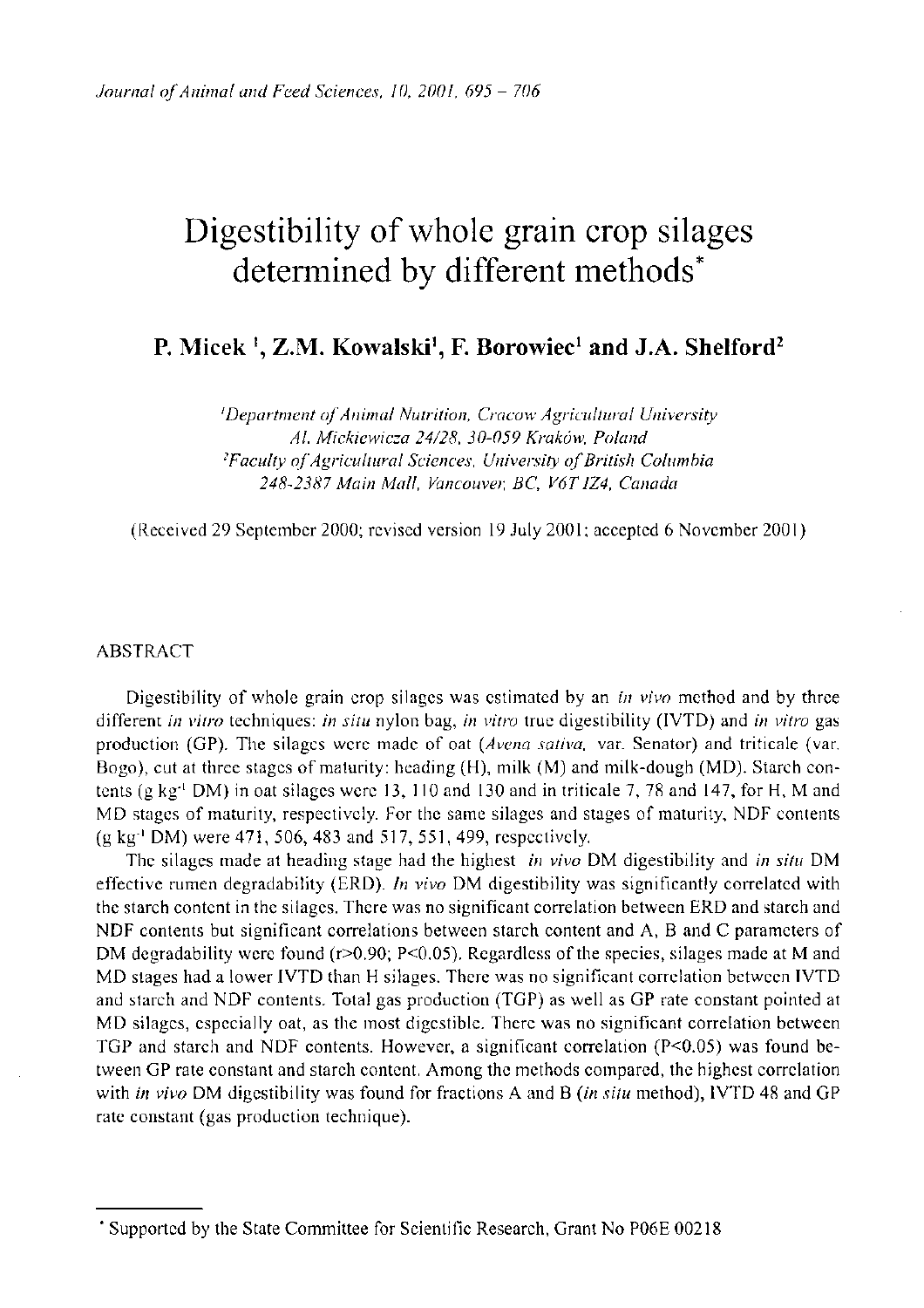# Digestibility of whole grain crop silages determined by different methods<sup>\*</sup>

**P. Micek Z.M. Kowalski<sup>1</sup> , F. Borowiec<sup>1</sup> and J.A. Shelford<sup>2</sup>**

*'Department of Animal Nutrition, Cracow Agricultural University Al. Mickiewicza 24/28, 30-059 Krakow, Poland 2 Faculty of Agricultural Sciences, University of British Columbia 248-2387 Main Mall, Vancouver, BC, V6TIZ4, Canada* 

(Received 29 September 2000; revised version 19 July 2001; accepted 6 November 2001)

#### ABSTRACT

Digestibility of whole grain crop silages was estimated by an *in vivo* method and by three different *in vitro* techniques: *in situ* nylon bag, *in vitro* true digestibility (1VTD) and *in vitro* gas production (GP). The silages were made of oat *(Avena sativa,* var. Senator) and triticale (var. Bogo), cut at three stages of maturity: heading (H), milk (M) and milk-dough (MD). Starch contents (g kg"<sup>1</sup> DM) in oat silages were 13, 110 and 130 and in triticale 7, 78 and 147, for H, M and MD stages of maturity, respectively. For the same silages and stages of maturity, NDF contents (g kg"<sup>1</sup> DM) were 471, 506, 483 and 517, 551, 499, respectively.

The silages made at heading stage had the highest *in vivo* DM digestibility and *in situ* DM effective rumen degradability (ERD). *In vivo* DM digestibility was significantly correlated with the starch content in the silages. There was no significant correlation between ERD and starch and NDF contents but significant correlations between starch content and A, B and C parameters of DM degradability were found ( $r > 0.90$ ; P<0.05). Regardless of the species, silages made at M and MD stages had a lower IVTD than H silages. There was no significant correlation between IVTD and starch and NDF contents. Total gas production (TGP) as well as GP rate constant pointed at MD silages, especially oat, as the most digestible. There was no significant correlation between TGP and starch and NDF contents. However, a significant correlation ( $P<0.05$ ) was found between GP rate constant and starch content. Among the methods compared, the highest correlation with *in vivo* DM digestibility was found for fractions A and B *(in situ* method), IVTD 48 and GP rate constant (gas production technique).

<sup>\*</sup> Supported by the State Committee for Scientific Research, Grant No P06E 00218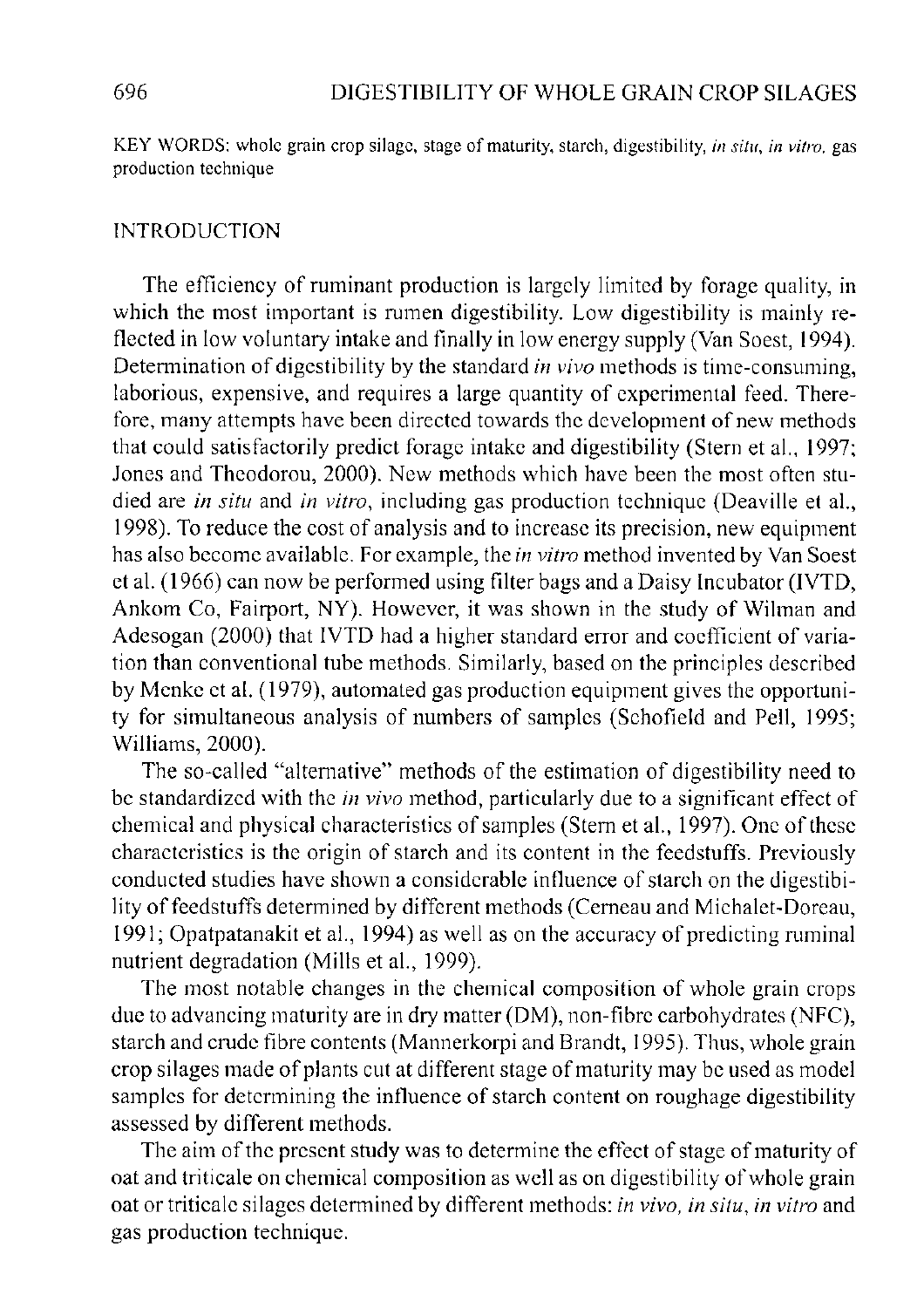KEY WORDS: whole grain crop silage, stage of maturity, starch, digestibility, *in situ, in vitro,* gas production technique

# INTRODUCTION

The efficiency of ruminant production is largely limited by forage quality, in which the most important is rumen digestibility. Low digestibility is mainly reflected in low voluntary intake and finally in low energy supply (Van Soest, 1994). Determination of digestibility by the standard *in vivo* methods is time-consuming, laborious, expensive, and requires a large quantity of experimental feed. Therefore, many attempts have been directed towards the development of new methods that could satisfactorily predict forage intake and digestibility (Stern et al., 1997; Jones and Theodorou, 2000). New methods which have been the most often studied are *in situ* and *in vitro,* including gas production technique (Deaville et al, 1998). To reduce the cost of analysis and to increase its precision, new equipment has also become available. For example, the *in vitro* method invented by Van Soest et al. (1966) can now be performed using filter bags and a Daisy Incubator (IVTD, Ankom Co, Fairport, NY). However, it was shown in the study of Wilman and Adesogan (2000) that IVTD had a higher standard error and coefficient of variation than conventional tube methods. Similarly, based on the principles described by Menke et al. (1979), automated gas production equipment gives the opportunity for simultaneous analysis of numbers of samples (Schofield and Pell, 1995; Williams, 2000).

The so-called "alternative" methods of the estimation of digestibility need to be standardized with the *in vivo* method, particularly due to a significant effect of chemical and physical characteristics of samples (Stern et al, 1997). One of these characteristics is the origin of starch and its content in the feedstuffs. Previously conducted studies have shown a considerable influence of starch on the digestibility of feedstuffs determined by different methods (Cerneau and Michalet-Doreau, 1991; Opatpatanakit et al., 1994) as well as on the accuracy of predicting ruminal nutrient degradation (Mills et al., 1999).

The most notable changes in the chemical composition of whole grain crops due to advancing maturity are in dry matter (DM), non-fibre carbohydrates (NFC), starch and crude fibre contents (Mannerkorpi and Brandt, 1995). Thus, whole grain crop silages made of plants cut at different stage of maturity may be used as model samples for determining the influence of starch content on roughage digestibility assessed by different methods.

The aim of the present study was to determine the effect of stage of maturity of oat and triticale on chemical composition as well as on digestibility of whole grain oat or triticale silages determined by different methods: *in vivo, in situ, in vitro* and gas production technique.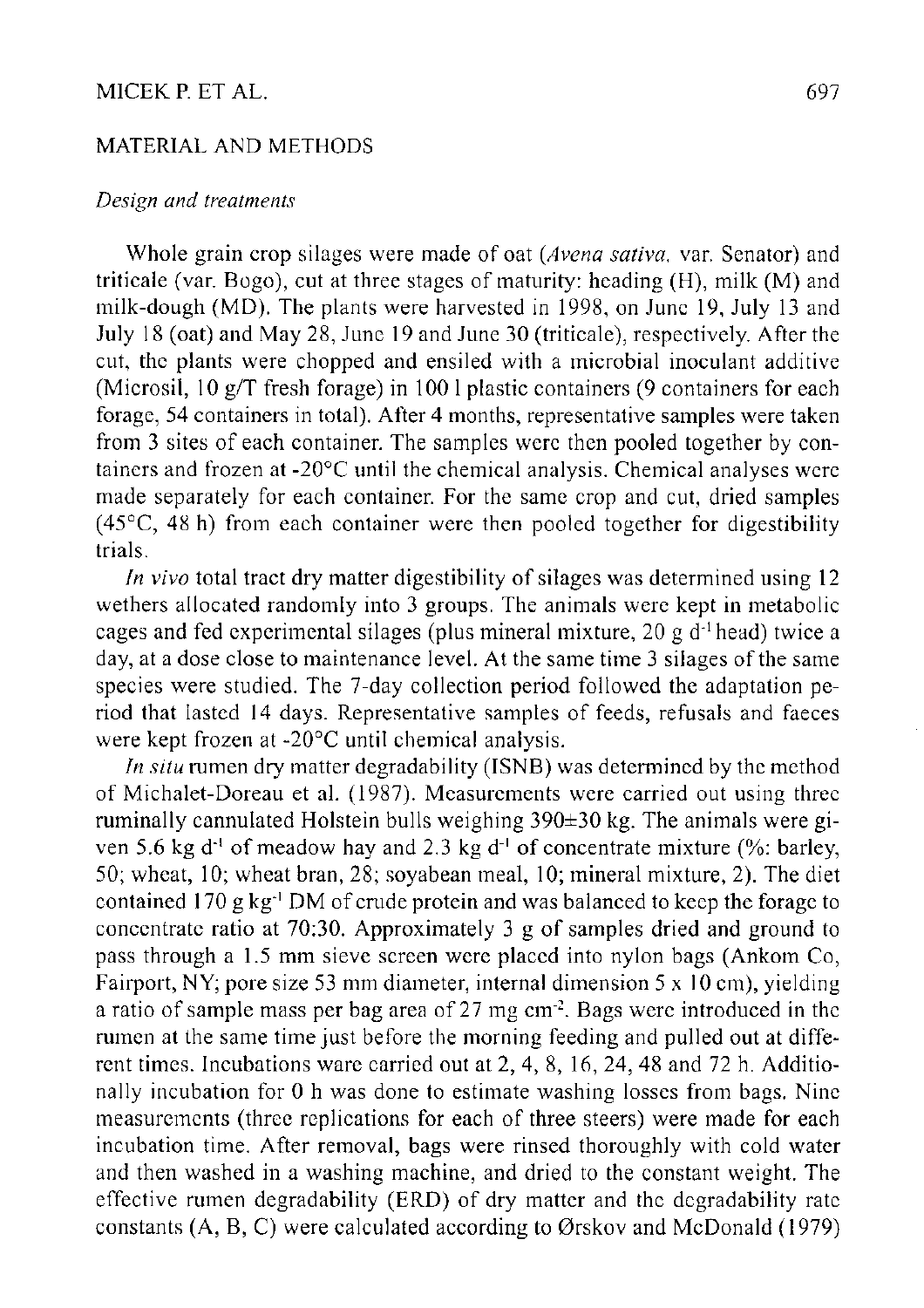# MICEK P. ET AL. 697

# MATERIAL AND METHODS

# *Design and treatments*

Whole grain crop silages were made of oat *(Avena sativa,* var. Senator) and triticale (var. Bogo), cut at three stages of maturity: heading (H), milk (M) and milk-dough (MD). The plants were harvested in 1998, on June 19, July 13 and July 18 (oat) and May 28, June 19 and June 30 (triticale), respectively. After the cut, the plants were chopped and ensiled with a microbial inoculant additive (Microsil, 10 g/T fresh forage) in 100 1 plastic containers (9 containers for each forage, 54 containers in total). After 4 months, representative samples were taken from 3 sites of each container. The samples were then pooled together by containers and frozen at -20°C until the chemical analysis. Chemical analyses were made separately for each container. For the same crop and cut, dried samples  $(45^{\circ}C, 48 h)$  from each container were then pooled together for digestibility trials.

*In vivo* total tract dry matter digestibility of silages was determined using 12 wethers allocated randomly into 3 groups. The animals were kept in metabolic cages and fed experimental silages (plus mineral mixture,  $20 g d<sup>-1</sup>$  head) twice a day, at a dose close to maintenance level. At the same time 3 silages of the same species were studied. The 7-day collection period followed the adaptation period that lasted 14 days. Representative samples of feeds, refusals and faeces were kept frozen at -20°C until chemical analysis.

*In situ* rumen dry matter degradability (ISNB) was determined by the method of Michalet-Doreau et al. (1987). Measurements were carried out using three ruminally cannulated Holstein bulls weighing 390±30 kg. The animals were given 5.6 kg d<sup>-1</sup> of meadow hay and 2.3 kg d<sup>-1</sup> of concentrate mixture (%: barley, 50; wheat, 10; wheat bran, 28; soyabean meal, 10; mineral mixture, 2). The diet contained 170 g kg<sup>-1</sup> DM of crude protein and was balanced to keep the forage to concentrate ratio at 70:30. Approximately 3 g of samples dried and ground to pass through a 1.5 mm sieve screen were placed into nylon bags (Ankom Co, Fairport, NY; pore size 53 mm diameter, internal dimension  $5 \times 10$  cm), yielding a ratio of sample mass per bag area of 27 mg cm<sup>-2</sup>. Bags were introduced in the rumen at the same time just before the morning feeding and pulled out at different times. Incubations ware carried out at 2, 4, 8, 16, 24, 48 and 72 h. Additionally incubation for 0 h was done to estimate washing losses from bags. Nine measurements (three replications for each of three steers) were made for each incubation time. After removal, bags were rinsed thoroughly with cold water and then washed in a washing machine, and dried to the constant weight. The effective rumen degradability (ERD) of dry matter and the degradability rate constants (A, B, C) were calculated according to Orskov and McDonald (1979)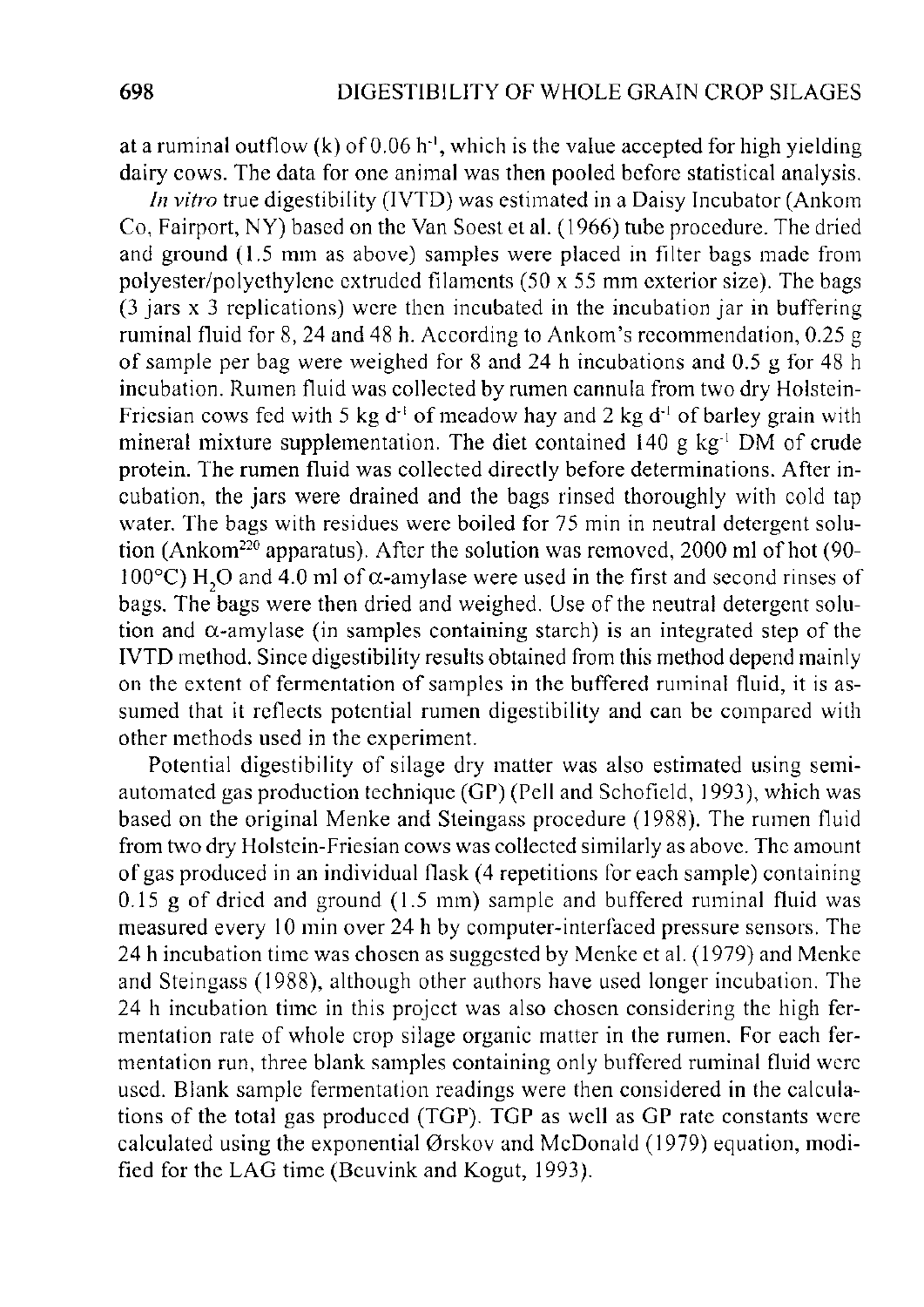at a ruminal outflow (k) of  $0.06$  h<sup>-1</sup>, which is the value accepted for high yielding dairy cows. The data for one animal was then pooled before statistical analysis.

*In vitro* true digestibility (IVTD) was estimated in a Daisy Incubator (Ankom Co, Fairport, NY) based on the Van Soest et al. (1966) tube procedure. The dried and ground (1.5 mm as above) samples were placed in filter bags made from polyester/polyethylene extruded filaments (50 x 55 mm exterior size). The bags (3 jars x 3 replications) were then incubated in the incubation jar in buffering ruminal fluid for 8, 24 and 48 h. According to Ankom's recommendation, 0.25 g of sample per bag were weighed for 8 and 24 h incubations and 0.5 g for 48 h incubation. Rumen fluid was collected by rumen cannula from two dry Holstein-Friesian cows fed with 5 kg  $d<sup>-1</sup>$  of meadow hay and 2 kg  $d<sup>-1</sup>$  of barley grain with mineral mixture supplementation. The diet contained  $140 \text{ g kg}^{-1}$  DM of crude protein. The rumen fluid was collected directly before determinations. After incubation, the jars were drained and the bags rinsed thoroughly with cold tap water. The bags with residues were boiled for 75 min in neutral detergent solution (Ankom<sup>220</sup> apparatus). After the solution was removed, 2000 ml of hot (90-100 $^{\circ}$ C) H<sub>2</sub>O and 4.0 ml of  $\alpha$ -amylase were used in the first and second rinses of bags. The bags were then dried and weighed. Use of the neutral detergent solution and  $\alpha$ -amylase (in samples containing starch) is an integrated step of the IVTD method. Since digestibility results obtained from this method depend mainly on the extent of fermentation of samples in the buffered ruminal fluid, it is assumed that it reflects potential rumen digestibility and can be compared with other methods used in the experiment.

Potential digestibility of silage dry matter was also estimated using semiautomated gas production technique (GP) (Pell and Schofield, 1993), which was based on the original Menke and Steingass procedure (1988). The rumen fluid from two dry Holstein-Friesian cows was collected similarly as above. The amount of gas produced in an individual flask (4 repetitions for each sample) containing 0.15 g of dried and ground (1.5 mm) sample and buffered ruminal fluid was measured every 10 min over 24 h by computer-interfaced pressure sensors. The 24 h incubation time was chosen as suggested by Menke et al. (1979) and Menke and Steingass (1988), although other authors have used longer incubation. The 24 h incubation time in this project was also chosen considering the high fermentation rate of whole crop silage organic matter in the rumen. For each fermentation run, three blank samples containing only buffered ruminal fluid were used. Blank sample fermentation readings were then considered in the calculations of the total gas produced (TGP). TGP as well as GP rate constants were calculated using the exponential Orskov and McDonald (1979) equation, modified for the LAG time (Beuvink and Kogut, 1993).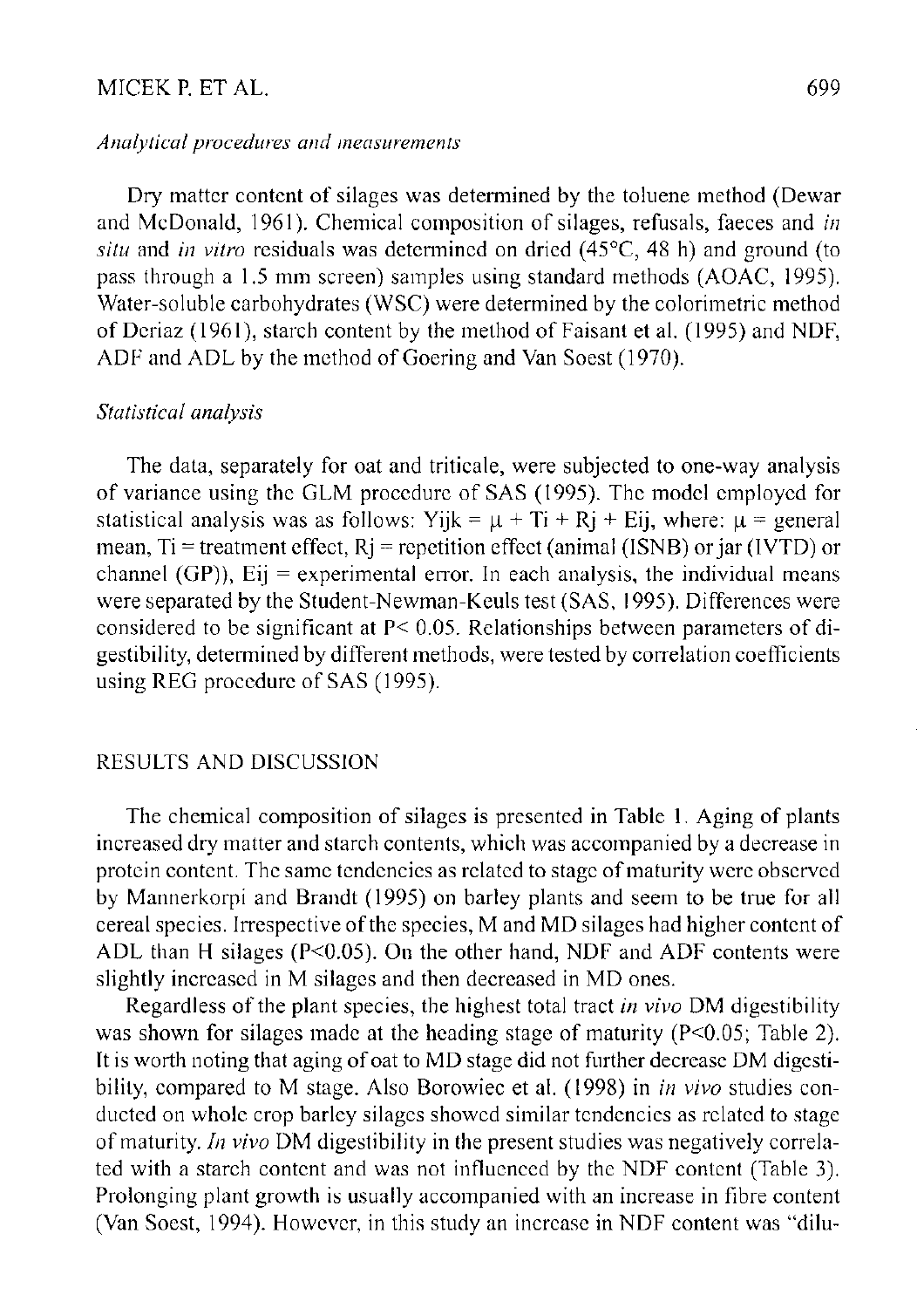# MICEK P. ET AL. 699

# *Analytical procedures and measurements*

Dry matter content of silages was determined by the toluene method (Dewar and McDonald, 1961). Chemical composition of silages, refusals, faeces and *in situ* and *in vitro* residuals was determined on dried (45°C, 48 h) and ground (to pass through a 1.5 mm screen) samples using standard methods (AOAC, 1995). Water-soluble carbohydrates (WSC) were determined by the colorimetric method of Deriaz (1961), starch content by the method of Faisant et al. (1995) and NDF, ADF and ADL by the method of Goering and Van Soest (1970).

# *Statistical analysis*

The data, separately for oat and triticale, were subjected to one-way analysis of variance using the GLM procedure of SAS (1995). The model employed for statistical analysis was as follows: Yijk =  $\mu$  + Ti + Rj + Eij, where:  $\mu$  = general mean, Ti = treatment effect,  $R$ j = repetition effect (animal (ISNB) or jar (IVTD) or channel (GP)),  $Eij$  = experimental error. In each analysis, the individual means were separated by the Student-Newman-Keuls test (SAS, 1995). Differences were considered to be significant at P< 0.05. Relationships between parameters of digestibility, determined by different methods, were tested by correlation coefficients using REG procedure of SAS (1995).

# RESULTS AND DISCUSSION

The chemical composition of silages is presented in Table 1. Aging of plants increased dry matter and starch contents, which was accompanied by a decrease in protein content. The same tendencies as related to stage of maturity were observed by Mannerkorpi and Brandt (1995) on barley plants and seem to be true for all cereal species. Irrespective of the species, M and MD silages had higher content of ADL than H silages (P<0.05). On the other hand, NDF and ADF contents were slightly increased in M silages and then decreased in MD ones.

Regardless of the plant species, the highest total tract *in vivo* DM digestibility was shown for silages made at the heading stage of maturity (P<0.05; Table 2). It is worth noting that aging of oat to MD stage did not further decrease DM digestibility, compared to M stage. Also Borowiec et al. (1998) in *in vivo* studies conducted on whole crop barley silages showed similar tendencies as related to stage of maturity. *In vivo* DM digestibility in the present studies was negatively correlated with a starch content and was not influenced by the NDF content (Table 3). Prolonging plant growth is usually accompanied with an increase in fibre content (Van Soest, 1994). However, in this study an increase in NDF content was "dilu-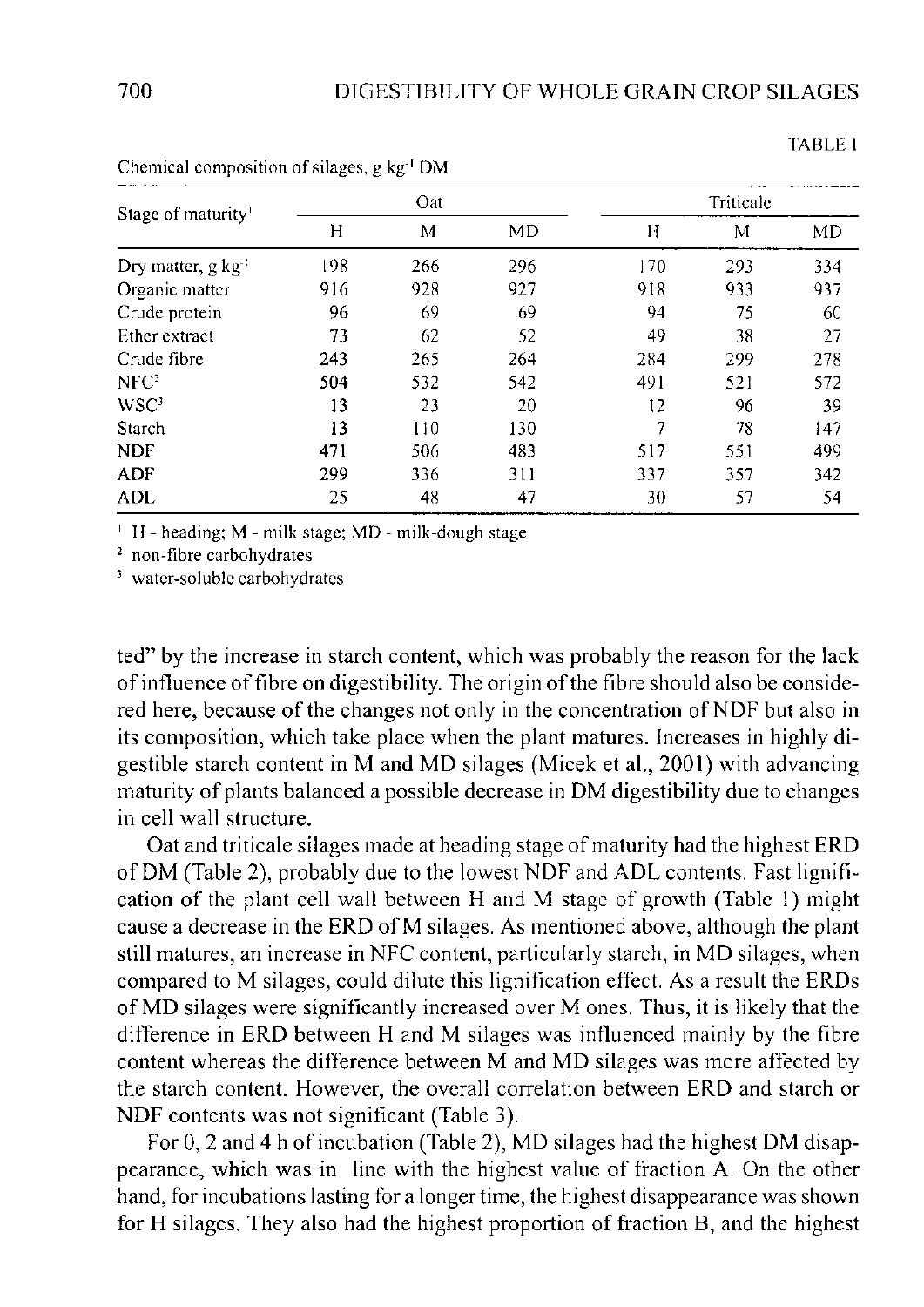TABLE 1

| Stage of maturity <sup>1</sup>  | Oat |     |     | Triticale |     |     |  |
|---------------------------------|-----|-----|-----|-----------|-----|-----|--|
|                                 | Η   | M   | MD  | Н         | M   | MD  |  |
| Dry matter, $g \text{ kg}^{-1}$ | 198 | 266 | 296 | 170       | 293 | 334 |  |
| Organic matter                  | 916 | 928 | 927 | 918       | 933 | 937 |  |
| Crude protein                   | 96  | 69  | 69  | 94        | 75  | 60  |  |
| Ether extract                   | 73  | 62  | 52  | 49        | 38  | 27  |  |
| Crude fibre                     | 243 | 265 | 264 | 284       | 299 | 278 |  |
| NFC <sup>2</sup>                | 504 | 532 | 542 | 491       | 521 | 572 |  |
| $WSC^3$                         | 13  | 23  | 20  | 12        | 96  | 39  |  |
| Starch                          | 13  | 110 | 130 | 7         | 78  | 147 |  |
| <b>NDF</b>                      | 471 | 506 | 483 | 517       | 551 | 499 |  |
| ADF                             | 299 | 336 | 311 | 337       | 357 | 342 |  |
| ADL                             | 25  | 48  | 47  | 30        | 57  | 54  |  |

Chemical composition of silages, g kg<sup>-1</sup> DM

1 H - heading; M - milk stage; MD - milk-dough stage

2 non-fibre carbohydrates

3 water-soluble carbohydrates

ted" by the increase in starch content, which was probably the reason for the lack of influence of fibre on digestibility. The origin of the fibre should also be considered here, because of the changes not only in the concentration of NDF but also in its composition, which take place when the plant matures. Increases in highly digestible starch content in M and MD silages (Micek et al., 2001) with advancing maturity of plants balanced a possible decrease in DM digestibility due to changes in cell wall structure.

Oat and triticale silages made at heading stage of maturity had the highest ERD of DM (Table 2), probably due to the lowest NDF and ADL contents. Fast lignification of the plant cell wall between H and M stage of growth (Table 1) might cause a decrease in the ERD of M silages. As mentioned above, although the plant still matures, an increase in NFC content, particularly starch, in MD silages, when compared to M silages, could dilute this lignification effect. As a result the ERDs of MD silages were significantly increased over M ones. Thus, it is likely that the difference in ERD between H and M silages was influenced mainly by the fibre content whereas the difference between M and MD silages was more affected by the starch content. However, the overall correlation between ERD and starch or NDF contents was not significant (Table 3).

For 0, 2 and 4 h of incubation (Table 2), MD silages had the highest DM disappearance, which was in line with the highest value of fraction A. On the other hand, for incubations lasting for a longer time, the highest disappearance was shown for H silages. They also had the highest proportion of fraction B, and the highest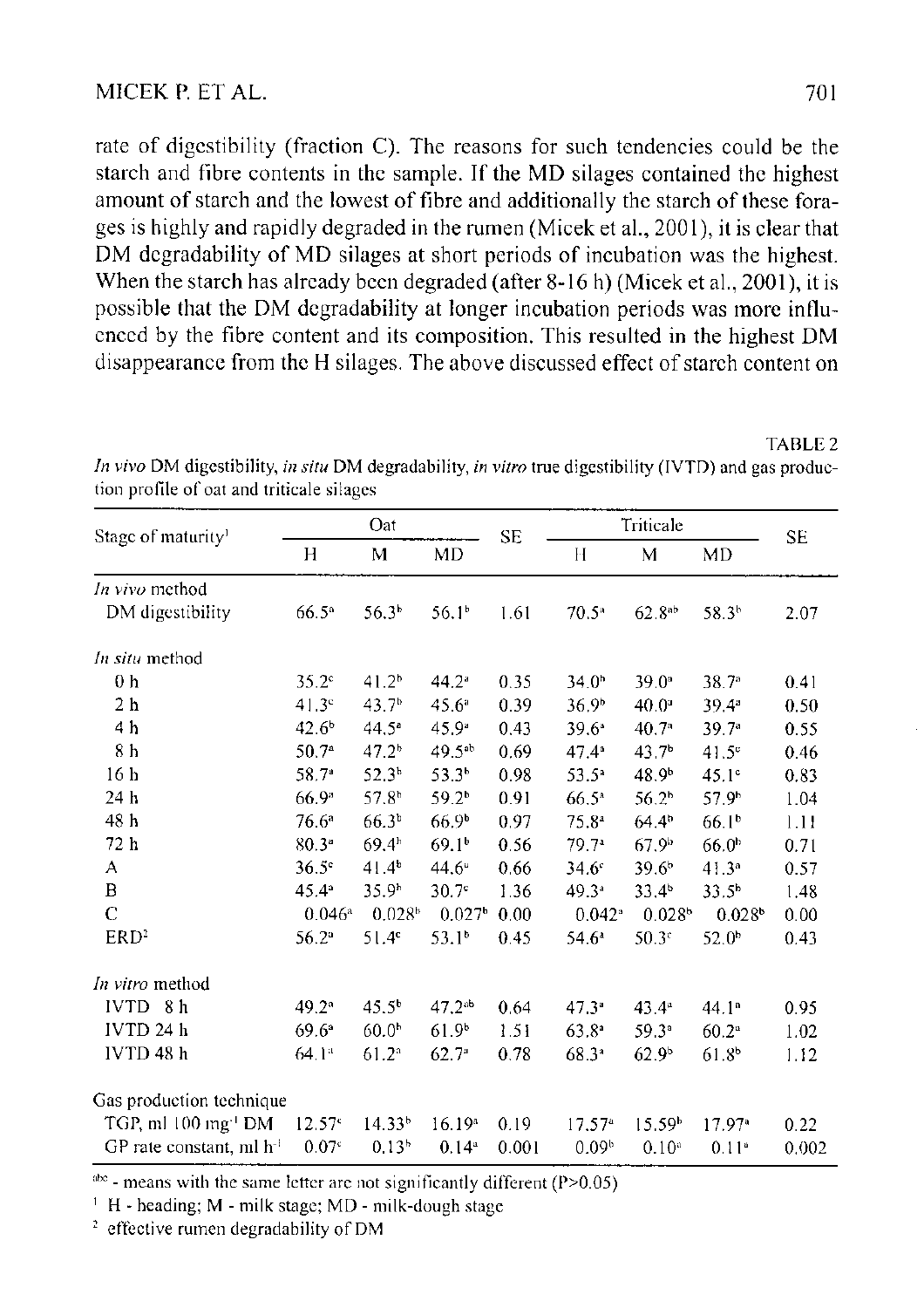rate of digestibility (fraction C). The reasons for such tendencies could be the starch and fibre contents in the sample. If the MD silages contained the highest amount of starch and the lowest of fibre and additionally the starch of these forages is highly and rapidly degraded in the rumen (Micek et al., 2001), it is clear that DM degradability of MD silages at short periods of incubation was the highest. When the starch has already been degraded (after 8-16 h) (Micek et al., 2001), it is possible that the DM degradability at longer incubation periods was more influenced by the fibre content and its composition. This resulted in the highest DM disappearance from the H silages. The above discussed effect of starch content on

TABLE 2

|                                 | Oat                  |                    |                    | <b>SE</b> | Triticale            |                    |                    |           |
|---------------------------------|----------------------|--------------------|--------------------|-----------|----------------------|--------------------|--------------------|-----------|
| Stage of maturity <sup>1</sup>  | H                    | M                  | MD                 |           | Н                    | М                  | MD                 | <b>SE</b> |
| In vivo method                  |                      |                    |                    |           |                      |                    |                    |           |
| DM digestibility                | $66.5^{\circ}$       | 56.3 <sup>b</sup>  | 56.1 <sup>b</sup>  | 1.61      | 70.5 <sup>a</sup>    | 62.8 <sup>ab</sup> | 58.3 <sup>h</sup>  | 2.07      |
| In situ method                  |                      |                    |                    |           |                      |                    |                    |           |
| 0 <sub>h</sub>                  | $35.2^\circ$         | 41.2 <sup>b</sup>  | $44.2^*$           | 0.35      | 34.0 <sup>h</sup>    | $39.0^{\circ}$     | 38.7 <sup>a</sup>  | 0.41      |
| 2 <sub>h</sub>                  | 41.3 <sup>c</sup>    | 43.7 <sup>b</sup>  | 45.6ª              | 0.39      | 36.9 <sup>b</sup>    | $40.0^{\circ}$     | $39.4^{\circ}$     | 0.50      |
| 4 h                             | $42.6^{b}$           | $44.5^{\circ}$     | $45.9^{\circ}$     | 0.43      | 39.6*                | 40.7 <sup>°</sup>  | 39.7ª              | 0.55      |
| 8 <sub>h</sub>                  | 50.7 <sup>a</sup>    | 47.2 <sup>b</sup>  | 49.5 <sup>ab</sup> | 0.69      | $47.4^{\circ}$       | 43.7 <sup>b</sup>  | $41.5^\circ$       | 0.46      |
| 16 <sub>h</sub>                 | 58.7 <sup>a</sup>    | 52.3 <sup>b</sup>  | 53.3 <sup>b</sup>  | 0.98      | 53.5 <sup>a</sup>    | 48.9 <sup>b</sup>  | $45.1^\circ$       | 0.83      |
| 24 h                            | 66.9 <sup>a</sup>    | 57.8 <sup>b</sup>  | $59.2^{b}$         | 0.91      | 66.5 <sup>a</sup>    | 56.2 <sup>b</sup>  | 57.9 <sup>b</sup>  | 1.04      |
| 48 h                            | $76.6^{\circ}$       | $66.3^{b}$         | 66.9 <sup>b</sup>  | 0.97      | 75.8 <sup>a</sup>    | $64.4^{b}$         | 66.1 <sup>b</sup>  | 1.11      |
| 72 h                            | $80.3^*$             | 69.4 <sup>b</sup>  | 69.1 <sup>b</sup>  | 0.56      | 79.7 <sup>a</sup>    | 67.9 <sup>b</sup>  | 66.0 <sup>b</sup>  | 0.71      |
| А                               | $36.5^{\circ}$       | $41.4^{\circ}$     | $44.6^{\circ}$     | 0.66      | $34.6^\circ$         | 39.6 <sup>b</sup>  | 41.3 <sup>a</sup>  | 0.57      |
| B                               | $45.4^{\circ}$       | 35.9 <sup>b</sup>  | 30.7 <sup>c</sup>  | 1.36      | 49.3 <sup>a</sup>    | $33.4^{\circ}$     | 33.5 <sup>b</sup>  | 1.48      |
| $\mathbf C$                     | $0.046$ <sup>a</sup> | 0.028 <sup>b</sup> | 0.027 <sup>b</sup> | 0.00      | $0.042$ <sup>*</sup> | 0.028 <sup>b</sup> | 0.028 <sup>b</sup> | 0.00      |
| ERD <sup>2</sup>                | $56.2^{\circ}$       | 51.4 <sup>c</sup>  | 53.1 <sup>b</sup>  | 0.45      | $54.6^a$             | $50.3^{\circ}$     | 52.0 <sup>b</sup>  | 0.43      |
| In vitro method                 |                      |                    |                    |           |                      |                    |                    |           |
| 8 <sub>h</sub><br><b>IVTD</b>   | $49.2^{\circ}$       | $45.5^{\circ}$     | $47.2^{ab}$        | 0.64      | $47.3^{\circ}$       | $43.4^{\circ}$     | 44.1 <sup>a</sup>  | 0.95      |
| IVTD 24 h                       | $69.6^{\circ}$       | 60.0 <sup>b</sup>  | 61.9 <sup>b</sup>  | 1.51      | $63.8^{\circ}$       | $59.3^{\circ}$     | $60.2^{\circ}$     | 1.02      |
| IVTD 48 h                       | 64.1 <sup>a</sup>    | 61.2 <sup>a</sup>  | 62.7 <sup>°</sup>  | 0.78      | $68.3^{a}$           | 62.9 <sup>b</sup>  | 61.8 <sup>b</sup>  | 1.12      |
| Gas production technique        |                      |                    |                    |           |                      |                    |                    |           |
| TGP, ml 100 mg <sup>1</sup> DM  | 12.57 <sup>c</sup>   | 14.33 <sup>b</sup> | 16.19 <sup>a</sup> | 0.19      | 17.57 <sup>a</sup>   | 15.59 <sup>b</sup> | 17.97*             | 0.22      |
| GP rate constant, $ml$ $h^{-1}$ | 0.07 <sup>c</sup>    | 0.13 <sup>b</sup>  | 0.14 <sup>a</sup>  | 0.001     | 0.09 <sup>b</sup>    | 0.10 <sup>a</sup>  | 0.11 <sup>a</sup>  | 0.002     |

*In vivo* DM digestibility, *in situ* DM degradability, *in vitro* true digestibility (IVTD) and gas production profile of oat and triticale silages

 $a<sup>abc</sup>$  - means with the same letter are not significantly different (P>0.05)

1 H - heading; M - milk stage; MD - milk-dough stage

<sup>2</sup> effective rumen degradability of DM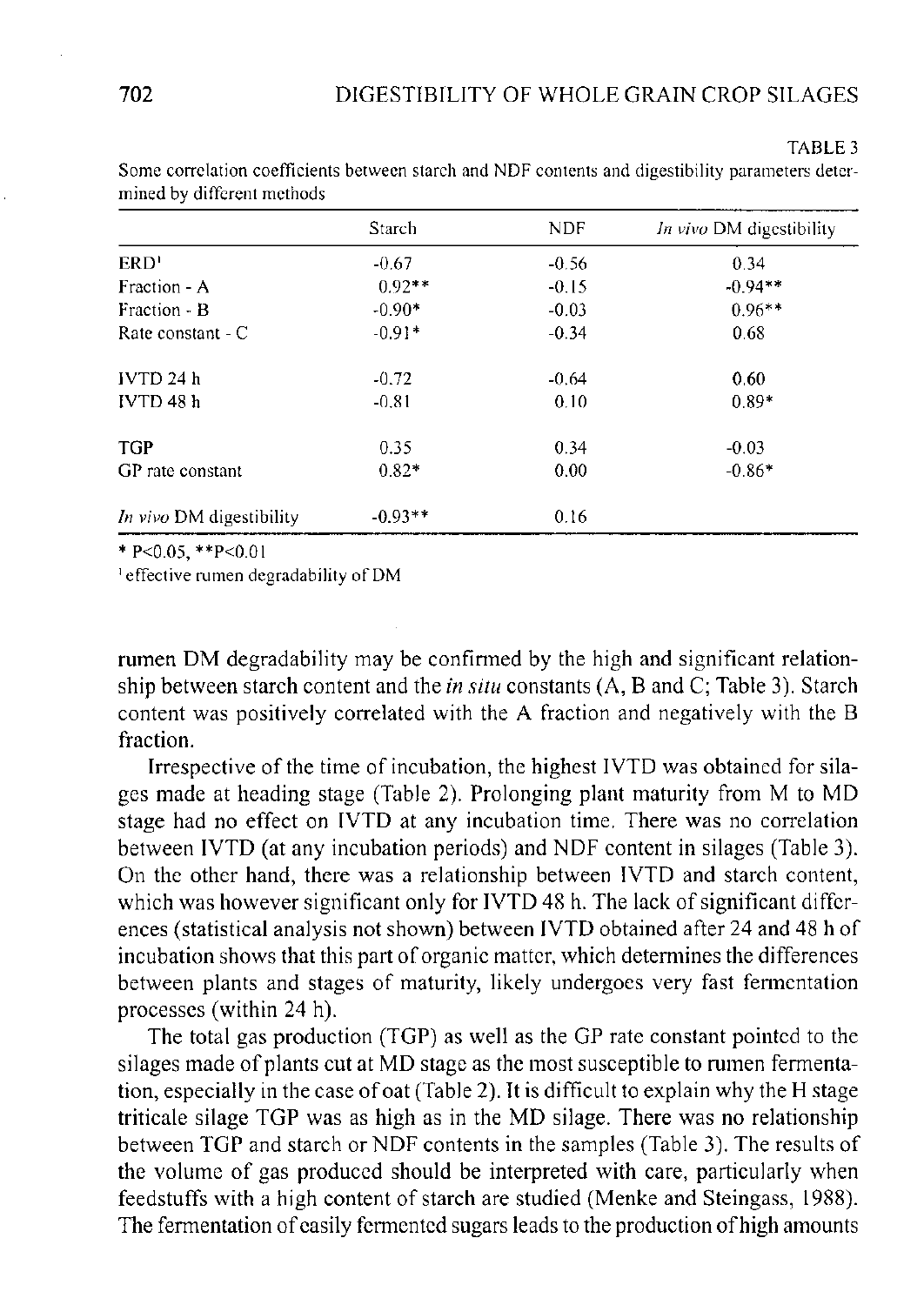TABLE 3

|                          | Starch    | <b>NDF</b> | In vivo DM digestibility |
|--------------------------|-----------|------------|--------------------------|
| ERD'                     | $-0.67$   | $-0.56$    | 0.34                     |
| Fraction - A             | $0.92**$  | $-0.15$    | $-0.94**$                |
| Fraction - B             | $-0.90*$  | $-0.03$    | $0.96**$                 |
| Rate constant - C        | $-0.91*$  | $-0.34$    | 0.68                     |
| IVTD <sub>24 h</sub>     | $-0.72$   | $-0.64$    | 0.60                     |
| IVTD 48 h                | $-0.81$   | 0.10       | $0.89*$                  |
| <b>TGP</b>               | 0.35      | 0.34       | $-0.03$                  |
| GP rate constant         | $0.82*$   | 0.00       | $-0.86*$                 |
| In vivo DM digestibility | $-0.93**$ | 0.16       |                          |

Some correlation coefficients between starch and NDF contents and digestibility parameters determined by different methods

\* P<0.05, \*\*P<0.01

1 effective rumen degradability of DM

rumen DM degradability may be confirmed by the high and significant relationship between starch content and the *in situ* constants (A, B and C; Table 3). Starch content was positively correlated with the A fraction and negatively with the B fraction.

Irrespective of the time of incubation, the highest IVTD was obtained for silages made at heading stage (Table 2). Prolonging plant maturity from M to MD stage had no effect on IVTD at any incubation time. There was no correlation between IVTD (at any incubation periods) and NDF content in silages (Table 3). On the other hand, there was a relationship between IVTD and starch content, which was however significant only for IVTD 48 h. The lack of significant differences (statistical analysis not shown) between IVTD obtained after 24 and 48 h of incubation shows that this part of organic matter, which determines the differences between plants and stages of maturity, likely undergoes very fast fermentation processes (within 24 h).

The total gas production (TGP) as well as the GP rate constant pointed to the silages made of plants cut at MD stage as the most susceptible to rumen fermentation, especially in the case of oat (Table 2). It is difficult to explain why the H stage triticale silage TGP was as high as in the MD silage. There was no relationship between TGP and starch or NDF contents in the samples (Table 3). The results of the volume of gas produced should be interpreted with care, particularly when feedstuffs with a high content of starch are studied (Menke and Steingass, 1988). The fermentation of easily fermented sugars leads to the production of high amounts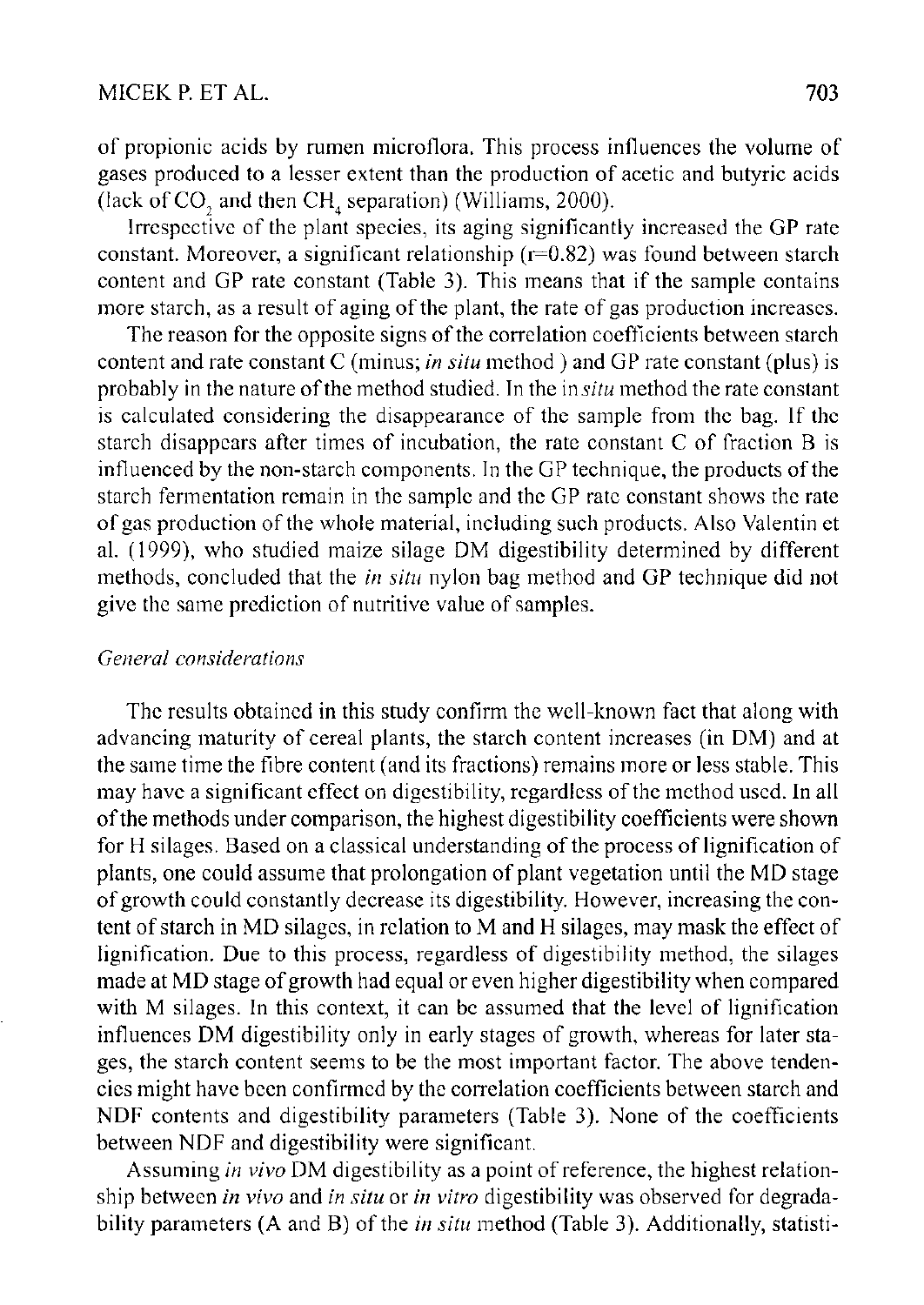of propionic acids by rumen microflora. This process influences the volume of gases produced to a lesser extent than the production of acetic and butyric acids (lack of CO, and then  $\text{CH}_{4}$  separation) (Williams, 2000).

Irrespective of the plant species, its aging significantly increased the GP rate constant. Moreover, a significant relationship ( $r=0.82$ ) was found between starch content and GP rate constant (Table 3). This means that if the sample contains more starch, as a result of aging of the plant, the rate of gas production increases.

The reason for the opposite signs of the correlation coefficients between starch content and rate constant C (minus; *in situ* method) and GP rate constant (plus) is probably in the nature of the method studied. In the in *situ* method the rate constant is calculated considering the disappearance of the sample from the bag. If the starch disappears after times of incubation, the rate constant C of fraction B is influenced by the non-starch components. In the GP technique, the products of the starch fermentation remain in the sample and the GP rate constant shows the rate of gas production of the whole material, including such products. Also Valentin et al. (1999), who studied maize silage DM digestibility determined by different methods, concluded that the *in situ* nylon bag method and GP technique did not give the same prediction of nutritive value of samples.

# *General considerations*

The results obtained in this study confirm the well-known fact that along with advancing maturity of cereal plants, the starch content increases (in DM) and at the same time the fibre content (and its fractions) remains more or less stable. This may have a significant effect on digestibility, regardless of the method used. In all of the methods under comparison, the highest digestibility coefficients were shown for H silages. Based on a classical understanding of the process of lignification of plants, one could assume that prolongation of plant vegetation until the MD stage of growth could constantly decrease its digestibility. However, increasing the content of starch in MD silages, in relation to M and H silages, may mask the effect of lignification. Due to this process, regardless of digestibility method, the silages made at MD stage of growth had equal or even higher digestibility when compared with M silages. In this context, it can be assumed that the level of lignification influences DM digestibility only in early stages of growth, whereas for later stages, the starch content seems to be the most important factor. The above tendencies might have been confirmed by the correlation coefficients between starch and NDF contents and digestibility parameters (Table 3). None of the coefficients between NDF and digestibility were significant.

Assuming *in vivo* DM digestibility as a point of reference, the highest relationship between *in vivo* and *in situ* or *in vitro* digestibility was observed for degradability parameters (A and B) of the *in situ* method (Table 3). Additionally, statisti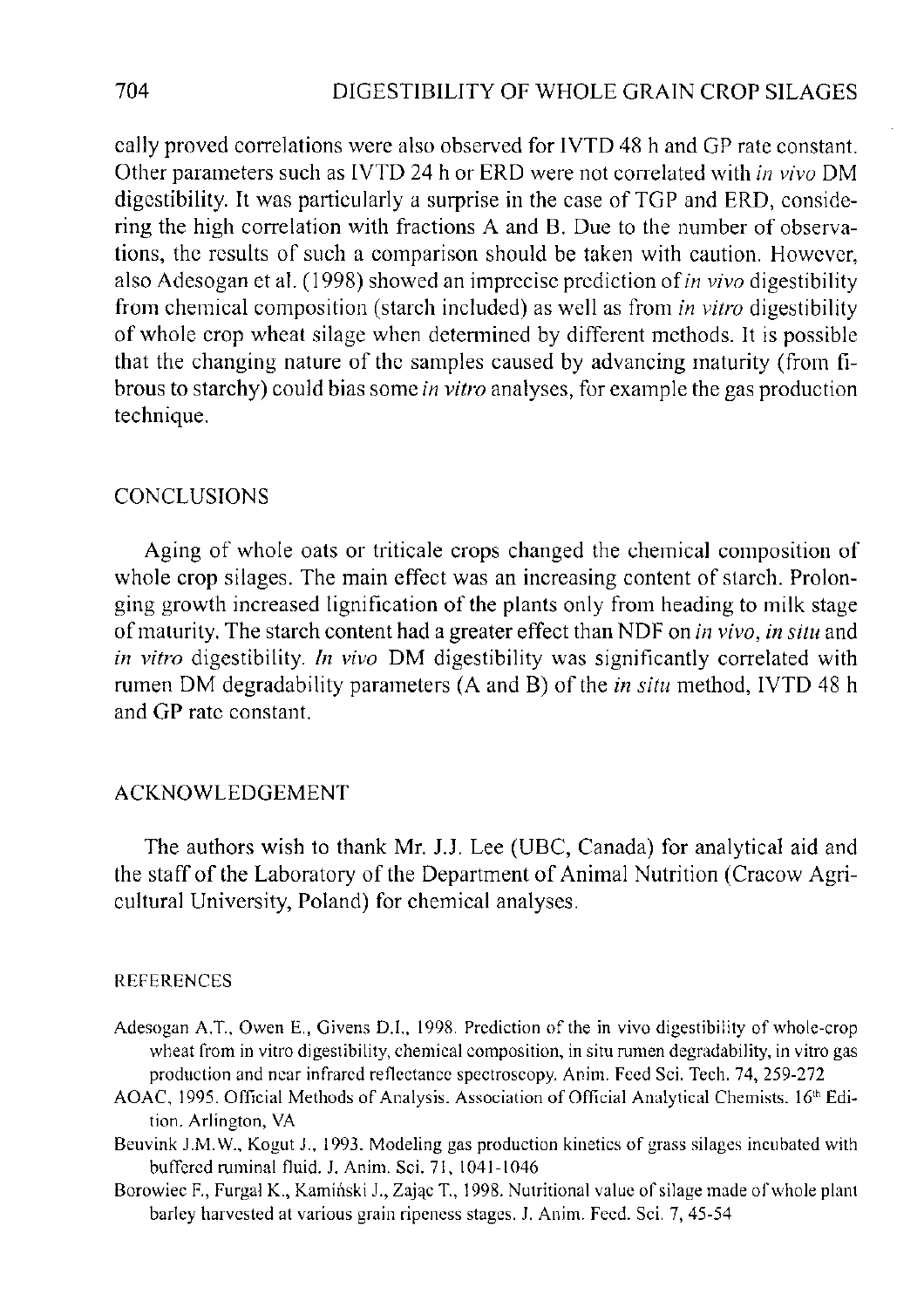cally proved correlations were also observed for IVTD 48 h and GP rate constant. Other parameters such as IVTD 24 h or ERD were not correlated with *in vivo* DM digestibility. It was particularly a surprise in the case of TGP and ERD, considering the high correlation with fractions A and B. Due to the number of observations, the results of such a comparison should be taken with caution. However, also Adesogan et al. (1998) showed an imprecise prediction of *in vivo* digestibility from chemical composition (starch included) as well as from *in vitro* digestibility of whole crop wheat silage when determined by different methods. It is possible that the changing nature of the samples caused by advancing maturity (from fibrous to starchy) could bias some *in vitro* analyses, for example the gas production technique.

# **CONCLUSIONS**

Aging of whole oats or triticale crops changed the chemical composition of whole crop silages. The main effect was an increasing content of starch. Prolonging growth increased lignification of the plants only from heading to milk stage of maturity. The starch content had a greater effect than NDF on *in vivo, in situ* and *in vitro* digestibility. *In vivo* DM digestibility was significantly correlated with rumen DM degradability parameters (A and B) of the *in situ* method, IVTD 48 h and GP rate constant.

## ACKNOWLEDGEMENT

The authors wish to thank Mr. J.J. Lee (UBC, Canada) for analytical aid and the staff of the Laboratory of the Department of Animal Nutrition (Cracow Agricultural University, Poland) for chemical analyses.

#### REFERENCES

- Adesogan A.T., Owen E., Givens D.I., 1998. Prediction of the in vivo digestibility of whole-crop wheat from in vitro digestibility, chemical composition, in situ rumen degradability, in vitro gas production and near infrared reflectance spectroscopy. Anim. Feed Sci. Tech. 74, 259-272
- AOAC, 1995. Official Methods of Analysis. Association of Official Analytical Chemists. 16<sup>th</sup> Edition. Arlington, VA
- Beuvink J.M.W., Kogut J., 1993. Modeling gas production kinetics of grass silages incubated with buffered ruminal fluid. J. Anim. Sci. 71, 1041-1046
- Borowiec F., Furgal K., Kamiński J., Zając T., 1998. Nutritional value of silage made of whole plant barley harvested at various grain ripeness stages. J. Anim. Feed. Sci. 7, 45-54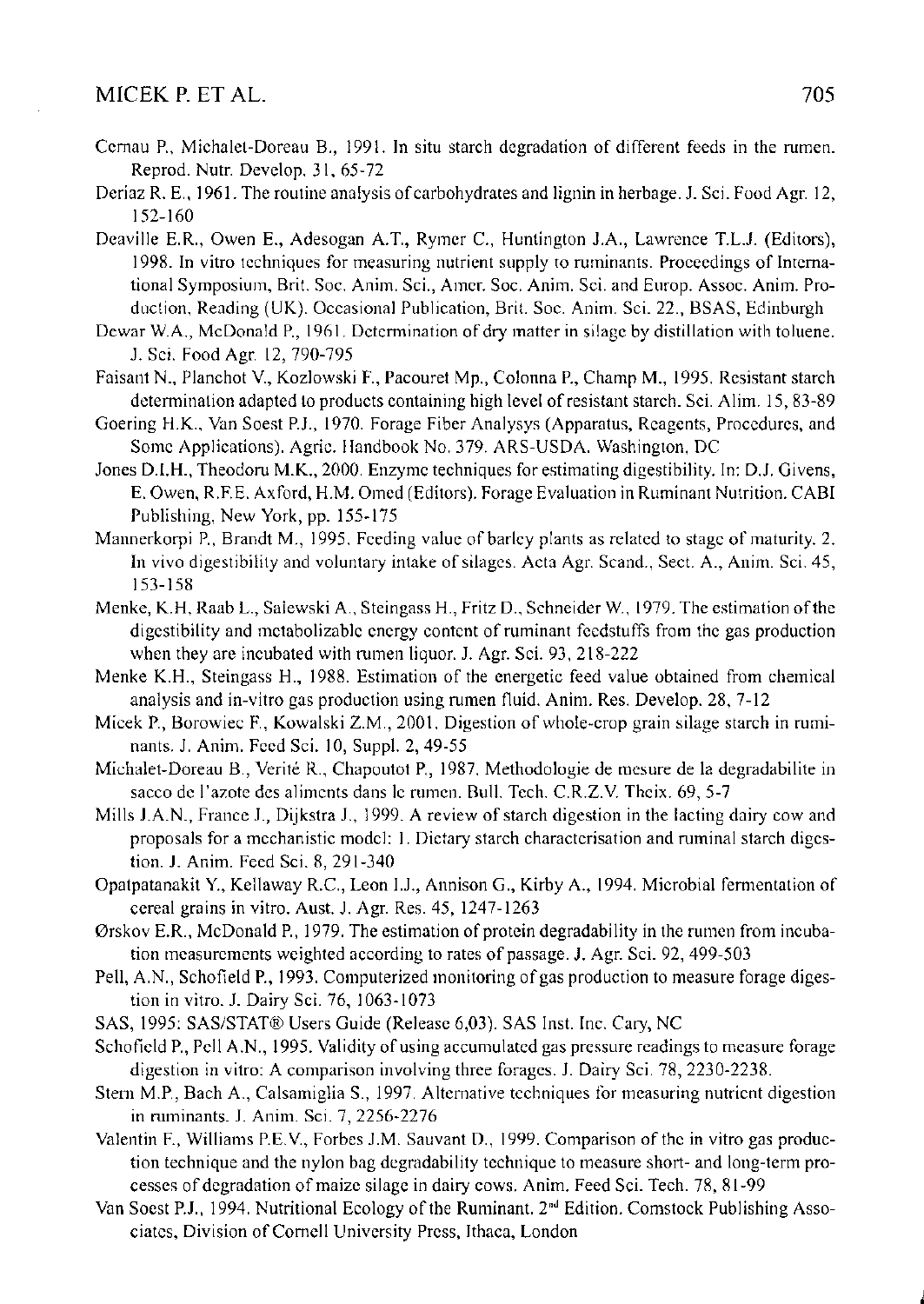# MICEK P. ET AL. 2005

- Cernau P., Michalet-Doreau B., 1991. In situ starch degradation of different feeds in the rumen. Reprod. Nutr. Develop. 31, 65-72
- Deriaz R. E., 1961. The routine analysis of carbohydrates and lignin in herbage. J. Sci. Food Agr. 12, 152- 160
- Deaville E.R., Owen E., Adesogan A.T., Rymer C, Huntington J.A., Lawrence T.L.J. (Editors), 1998. In vitro techniques for measuring nutrient supply to ruminants. Proceedings of International Symposium, Brit. Soc. Anim. Sci., Amer. Soc. Anim. Sci. and Europ. Assoc. Anim. Production, Reading (UK). Occasional Publication, Brit. Soc. Anim. Sci. 22., BSAS, Edinburgh
- Dewar W.A., McDonald P., 1961. Determination of dry matter in silage by distillation with toluene. J. Sci. Food Agr. 12, 790-795
- Faisant N., Planchot V., Kozlowski F., Pacouret Mp., Colonna P., Champ M., 1995. Resistant starch determination adapted to products containing high level of resistant starch. Sci. Alim. 15, 83-89
- Goering H.K., Van Soest P.J., 1970. Forage Fiber Analysys (Apparatus, Reagents, Procedures, and Some Applications). Agric. Handbook No. 379. ARS-USDA. Washington, DC
- Jones D.I.H., Theodoru M.K., 2000. Enzyme techniques for estimating digestibility. In: D.J. Givens, E. Owen, R.F.E. Axford, H.M. Omed (Editors). Forage Evaluation in Ruminant Nutrition. CABI Publishing, New York, pp. 155-175
- Mannerkorpi P., Brandt M., 1995. Feeding value of barley plants as related to stage of maturity. 2. In vivo digestibility and voluntary intake of silages. Acta Agr. Scand., Sect. A., Anim. Sci. 45, 153- 158
- Menke, K.H, Raab L., Salewski A., Steingass H., Fritz D., Schneider W., 1979. The estimation of the digestibility and metabolizable energy content of ruminant feedstuffs from the gas production when they are incubated with rumen liquor. J. Agr. Sci. 93, 218-222
- Menke K.H., Steingass H., 1988. Estimation of the energetic feed value obtained from chemical analysis and in-vitro gas production using rumen fluid. Anim. Res. Develop. 28, 7-12
- Micek P., Borowiec F., Kowalski Z.M., 2001. Digestion of whole-crop grain silage starch in ruminants. J. Anim. Feed Sci. 10, Suppl. 2, 49-55
- Michalet-Doreau B., Verite R., Chapoutot P., 1987. Methodologie de mesure de la degradabilite in sacco de l'azote des aliments dans le rumen. Bull. Tech. C.R.Z.V. Theix. 69, 5-7
- Mills J.A.N., France J., Dijkstra J., 1999. A review of starch digestion in the lacting dairy cow and proposals for a mechanistic model: 1. Dietary starch characterisation and ruminal starch digestion. J. Anim. Feed Sci. 8, 291-340
- Opatpatanakit Y., Kellaway R.C., Leon I.J., Annison G., Kirby A., 1994. Microbial fermentation of cereal grains in vitro. Aust. J. Agr. Res. 45, 1247-1263
- Orskov E.R., McDonald P., 1979. The estimation of protein degradability in the rumen from incubation measurements weighted according to rates of passage. J. Agr. Sci. 92, 499-503
- Pell, A.N., Schofield P., 1993. Computerized monitoring of gas production to measure forage digestion in vitro. J. Dairy Sci. 76, 1063-1073
- SAS, 1995: SAS/STAT® Users Guide (Release 6,03). SAS Inst. Inc. Cary, NC
- Schofield P., Pell A.N., 1995. Validity of using accumulated gas pressure readings to measure forage digestion in vitro: A comparison involving three forages. J. Dairy Sci. 78, 2230-2238.
- Stern M.P., Bach A., Calsamiglia S., 1997. Alternative techniques for measuring nutrient digestion in ruminants. J. Anim. Sci. 7, 2256-2276
- Valentin F., Williams P.E.V, Forbes J.M. Sauvant D., 1999. Comparison of the in vitro gas production technique and the nylon bag degradability technique to measure short- and long-term processes of degradation of maize silage in dairy cows. Anim. Feed Sci. Tech. 78, 81-99
- Van Soest P.J., 1994. Nutritional Ecology of the Ruminant.  $2<sup>nd</sup>$  Edition. Comstock Publishing Associates, Division of Cornell University Press, Ithaca, London